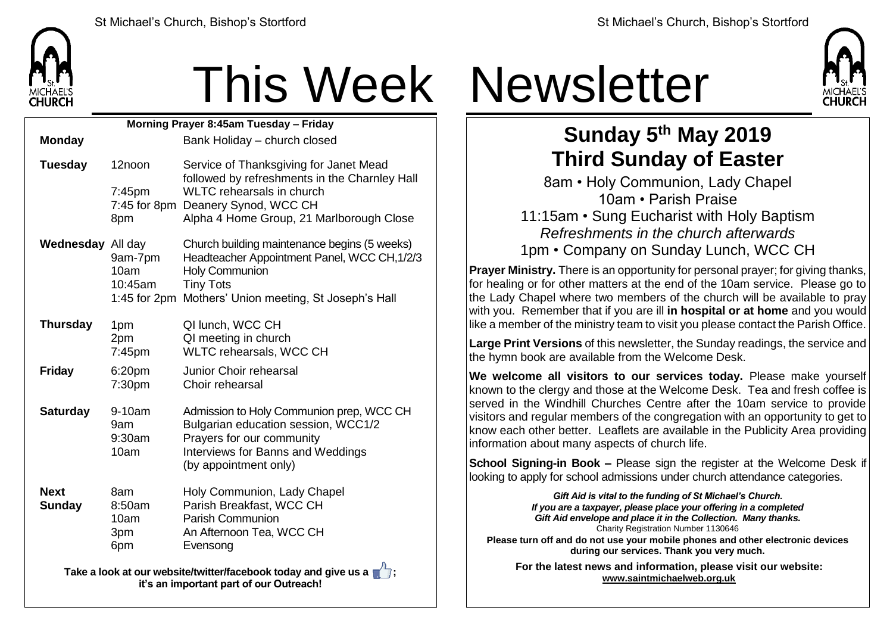

## This Week Newsletter

| Morning Prayer 8:45am Tuesday - Friday |                                     |                                                                                                                                                                                                    |  |  |  |
|----------------------------------------|-------------------------------------|----------------------------------------------------------------------------------------------------------------------------------------------------------------------------------------------------|--|--|--|
| <b>Monday</b>                          |                                     | Bank Holiday - church closed                                                                                                                                                                       |  |  |  |
| <b>Tuesday</b>                         | 12noon<br>7:45pm                    | Service of Thanksgiving for Janet Mead<br>followed by refreshments in the Charnley Hall<br><b>WLTC</b> rehearsals in church<br>7:45 for 8pm Deanery Synod, WCC CH                                  |  |  |  |
|                                        | 8pm                                 | Alpha 4 Home Group, 21 Marlborough Close                                                                                                                                                           |  |  |  |
| <b>Wednesday All day</b>               | 9am-7pm<br>10am<br>10:45am          | Church building maintenance begins (5 weeks)<br>Headteacher Appointment Panel, WCC CH, 1/2/3<br><b>Holy Communion</b><br><b>Tiny Tots</b><br>1:45 for 2pm Mothers' Union meeting, St Joseph's Hall |  |  |  |
| <b>Thursday</b>                        | 1pm<br>2pm<br>7:45pm                | QI lunch, WCC CH<br>QI meeting in church<br>WLTC rehearsals, WCC CH                                                                                                                                |  |  |  |
| <b>Friday</b>                          | 6:20pm<br>7:30pm                    | Junior Choir rehearsal<br>Choir rehearsal                                                                                                                                                          |  |  |  |
| <b>Saturday</b>                        | 9-10am<br>9am<br>9:30am<br>10am     | Admission to Holy Communion prep, WCC CH<br>Bulgarian education session, WCC1/2<br>Prayers for our community<br>Interviews for Banns and Weddings<br>(by appointment only)                         |  |  |  |
| <b>Next</b><br><b>Sunday</b>           | 8am<br>8:50am<br>10am<br>3pm<br>6pm | Holy Communion, Lady Chapel<br>Parish Breakfast, WCC CH<br><b>Parish Communion</b><br>An Afternoon Tea, WCC CH<br>Evensong<br>Л                                                                    |  |  |  |

**Take a look at our website/twitter/facebook today and give us a**  $\blacksquare$ **; it's an important part of our Outreach!**



## **Sunday 5 th May 2019 Third Sunday of Easter**

8am • Holy Communion, Lady Chapel 10am • Parish Praise 11:15am • Sung Eucharist with Holy Baptism *Refreshments in the church afterwards* 1pm • Company on Sunday Lunch, WCC CH

**Prayer Ministry.** There is an opportunity for personal prayer; for giving thanks, for healing or for other matters at the end of the 10am service. Please go to the Lady Chapel where two members of the church will be available to pray with you. Remember that if you are ill **in hospital or at home** and you would like a member of the ministry team to visit you please contact the Parish Office.

**Large Print Versions** of this newsletter, the Sunday readings, the service and the hymn book are available from the Welcome Desk.

**We welcome all visitors to our services today.** Please make yourself  $k$  known to the clergy and those at the Welcome Desk. Tea and fresh coffee is served in the Windhill Churches Centre after the 10am service to provide visitors and regular members of the congregation with an opportunity to get to know each other better. Leaflets are available in the Publicity Area providing information about many aspects of church life.

**School Signing-in Book –** Please sign the register at the Welcome Desk if looking to apply for school admissions under church attendance categories.

> *Gift Aid is vital to the funding of St Michael's Church. If you are a taxpayer, please place your offering in a completed Gift Aid envelope and place it in the Collection. Many thanks.* Charity Registration Number 1130646

**Please turn off and do not use your mobile phones and other electronic devices during our services. Thank you very much.**

**For the latest news and information, please visit our website: [www.saintmichaelweb.org.uk](http://www.saintmichaelweb.org.uk/)**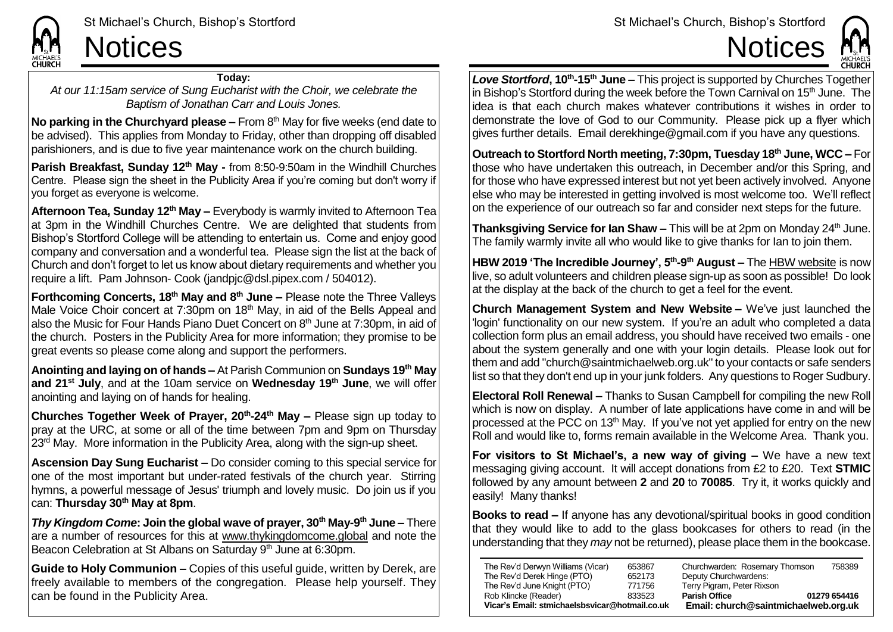

**CHURCH** 

**Today:**

*At our 11:15am service of Sung Eucharist with the Choir, we celebrate the Baptism of Jonathan Carr and Louis Jones.*

**No parking in the Churchyard please –** From 8<sup>th</sup> May for five weeks (end date to be advised). This applies from Monday to Friday, other than dropping off disabled parishioners, and is due to five year maintenance work on the church building.

**Parish Breakfast, Sunday 12th May -** from 8:50-9:50am in the Windhill Churches Centre. Please sign the sheet in the Publicity Area if you're coming but don't worry if you forget as everyone is welcome.

**Afternoon Tea, Sunday 12th May –** Everybody is warmly invited to Afternoon Tea at 3pm in the Windhill Churches Centre. We are delighted that students from Bishop's Stortford College will be attending to entertain us. Come and enjoy good company and conversation and a wonderful tea. Please sign the list at the back of Church and don't forget to let us know about dietary requirements and whether you require a lift. Pam Johnson- Cook (jandpjc@dsl.pipex.com / 504012).

**Forthcoming Concerts, 18th May and 8th June –** Please note the Three Valleys Male Voice Choir concert at 7:30pm on  $18<sup>th</sup>$  May, in aid of the Bells Appeal and also the Music for Four Hands Piano Duet Concert on  $8<sup>th</sup>$  June at 7:30pm, in aid of the church. Posters in the Publicity Area for more information; they promise to be great events so please come along and support the performers.

**Anointing and laying on of hands –** At Parish Communion on **Sundays 19th May and 21st July**, and at the 10am service on **Wednesday 19th June**, we will offer anointing and laying on of hands for healing.

**Churches Together Week of Prayer, 20th -24th May –** Please sign up today to pray at the URC, at some or all of the time between 7pm and 9pm on Thursday 23<sup>rd</sup> May. More information in the Publicity Area, along with the sign-up sheet.

**Ascension Day Sung Eucharist –** Do consider coming to this special service for one of the most important but under-rated festivals of the church year. Stirring hymns, a powerful message of Jesus' triumph and lovely music. Do join us if you can: **Thursday 30th May at 8pm**.

*Thy Kingdom Come***: Join the global wave of prayer, 30th May-9 th June –** There are a number of resources for this at [www.thykingdomcome.global](http://www.thykingdomcome.global/) and note the Beacon Celebration at St Albans on Saturday 9<sup>th</sup> June at 6:30pm.

**Guide to Holy Communion –** Copies of this useful guide, written by Derek, are freely available to members of the congregation. Please help yourself. They can be found in the Publicity Area.

Love Stortford, 10<sup>th</sup>-15<sup>th</sup> June – This project is supported by Churches Together in Bishop's Stortford during the week before the Town Carnival on 15<sup>th</sup> June. The idea is that each church makes whatever contributions it wishes in order to demonstrate the love of God to our Community. Please pick up a flyer which gives further details. Email derekhinge@gmail.com if you have any questions.

**Outreach to Stortford North meeting, 7:30pm, Tuesday 18th June, WCC –** For those who have undertaken this outreach, in December and/or this Spring, and for those who have expressed interest but not yet been actively involved. Anyone else who may be interested in getting involved is most welcome too. We'll reflect on the experience of our outreach so far and consider next steps for the future.

**Thanksgiving Service for Ian Shaw –** This will be at 2pm on Monday 24<sup>th</sup> June. The family warmly invite all who would like to give thanks for Ian to join them.

**HBW 2019 'The Incredible Journey', 5<sup>th</sup>-9<sup>th</sup> August – The [HBW website](http://www.holidaybibleweek.co.uk/) is now** live, so adult volunteers and children please sign-up as soon as possible! Do look at the display at the back of the church to get a feel for the event.

**Church Management System and New Website –** We've just launched the 'login' functionality on our new system. If you're an adult who completed a data collection form plus an email address, you should have received two emails - one about the system generally and one with your login details. Please look out for them and add "church@saintmichaelweb.org.uk" to your contacts or safe senders list so that they don't end up in your junk folders. Any questions to Roger Sudbury.

**Electoral Roll Renewal –** Thanks to Susan Campbell for compiling the new Roll which is now on display. A number of late applications have come in and will be processed at the PCC on 13<sup>th</sup> May. If you've not yet applied for entry on the new Roll and would like to, forms remain available in the Welcome Area. Thank you.

**For visitors to St Michael's, a new way of giving –** We have a new text messaging giving account. It will accept donations from £2 to £20. Text **STMIC** followed by any amount between **2** and **20** to **70085**. Try it, it works quickly and easily! Many thanks!

**Books to read –** If anyone has any devotional/spiritual books in good condition that they would like to add to the glass bookcases for others to read (in the understanding that they *may* not be returned), please place them in the bookcase.

| Vicar's Email: stmichaelsbsvicar@hotmail.co.uk |        | Email: church@saintmichaelweb.org.uk |              |
|------------------------------------------------|--------|--------------------------------------|--------------|
| Rob Klincke (Reader)                           | 833523 | <b>Parish Office</b>                 | 01279 654416 |
| The Rev'd June Knight (PTO)                    | 771756 | Terry Pigram, Peter Rixson           |              |
| The Rev'd Derek Hinge (PTO)                    | 652173 | Deputy Churchwardens:                |              |
| The Rev'd Derwyn Williams (Vicar)              | 653867 | Churchwarden: Rosemary Thomson       | 758389       |